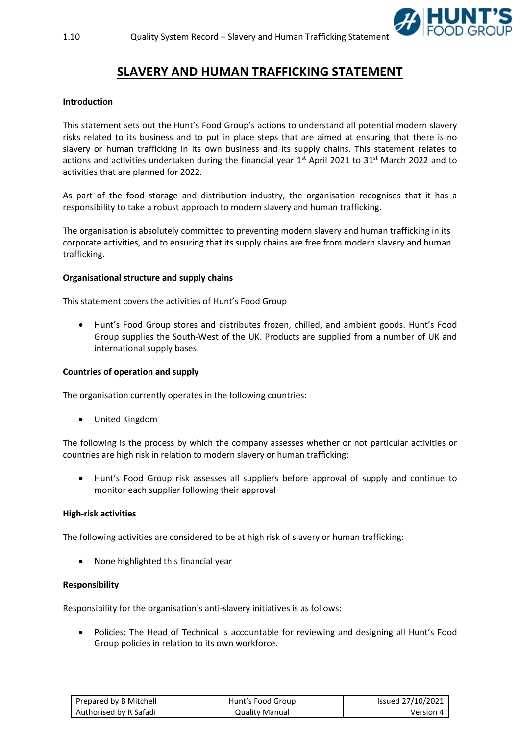

# **SLAVERY AND HUMAN TRAFFICKING STATEMENT**

## **Introduction**

This statement sets out the Hunt's Food Group's actions to understand all potential modern slavery risks related to its business and to put in place steps that are aimed at ensuring that there is no slavery or human trafficking in its own business and its supply chains. This statement relates to actions and activities undertaken during the financial year 1<sup>st</sup> April 2021 to 31<sup>st</sup> March 2022 and to activities that are planned for 2022.

As part of the food storage and distribution industry, the organisation recognises that it has a responsibility to take a robust approach to modern slavery and human trafficking.

The organisation is absolutely committed to preventing modern slavery and human trafficking in its corporate activities, and to ensuring that its supply chains are free from modern slavery and human trafficking.

## **Organisational structure and supply chains**

This statement covers the activities of Hunt's Food Group

• Hunt's Food Group stores and distributes frozen, chilled, and ambient goods. Hunt's Food Group supplies the South-West of the UK. Products are supplied from a number of UK and international supply bases.

## **Countries of operation and supply**

The organisation currently operates in the following countries:

• United Kingdom

The following is the process by which the company assesses whether or not particular activities or countries are high risk in relation to modern slavery or human trafficking:

• Hunt's Food Group risk assesses all suppliers before approval of supply and continue to monitor each supplier following their approval

## **High-risk activities**

The following activities are considered to be at high risk of slavery or human trafficking:

• None highlighted this financial year

#### **Responsibility**

Responsibility for the organisation's anti-slavery initiatives is as follows:

• Policies: The Head of Technical is accountable for reviewing and designing all Hunt's Food Group policies in relation to its own workforce.

| Prepared by B Mitchell | Hunt's Food Group | Issued 27/10/2021 |
|------------------------|-------------------|-------------------|
| Authorised by R Safadi | Quality Manual    | Version 4         |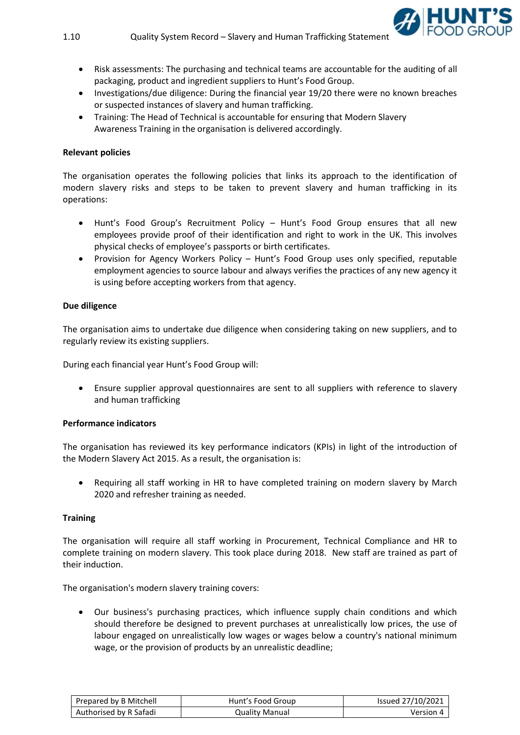

- Risk assessments: The purchasing and technical teams are accountable for the auditing of all packaging, product and ingredient suppliers to Hunt's Food Group.
- Investigations/due diligence: During the financial year 19/20 there were no known breaches or suspected instances of slavery and human trafficking.
- Training: The Head of Technical is accountable for ensuring that Modern Slavery Awareness Training in the organisation is delivered accordingly.

## **Relevant policies**

The organisation operates the following policies that links its approach to the identification of modern slavery risks and steps to be taken to prevent slavery and human trafficking in its operations:

- Hunt's Food Group's Recruitment Policy Hunt's Food Group ensures that all new employees provide proof of their identification and right to work in the UK. This involves physical checks of employee's passports or birth certificates.
- Provision for Agency Workers Policy Hunt's Food Group uses only specified, reputable employment agencies to source labour and always verifies the practices of any new agency it is using before accepting workers from that agency.

## **Due diligence**

The organisation aims to undertake due diligence when considering taking on new suppliers, and to regularly review its existing suppliers.

During each financial year Hunt's Food Group will:

• Ensure supplier approval questionnaires are sent to all suppliers with reference to slavery and human trafficking

## **Performance indicators**

The organisation has reviewed its key performance indicators (KPIs) in light of the introduction of the Modern Slavery Act 2015. As a result, the organisation is:

• Requiring all staff working in HR to have completed training on modern slavery by March 2020 and refresher training as needed.

## **Training**

The organisation will require all staff working in Procurement, Technical Compliance and HR to complete training on modern slavery. This took place during 2018. New staff are trained as part of their induction.

The organisation's modern slavery training covers:

• Our business's purchasing practices, which influence supply chain conditions and which should therefore be designed to prevent purchases at unrealistically low prices, the use of labour engaged on unrealistically low wages or wages below a country's national minimum wage, or the provision of products by an unrealistic deadline;

| Prepared by B Mitchell | Hunt's Food Group | Issued 27/10/2021 |
|------------------------|-------------------|-------------------|
| Authorised by R Safadi | Quality Manual    | Version 4         |